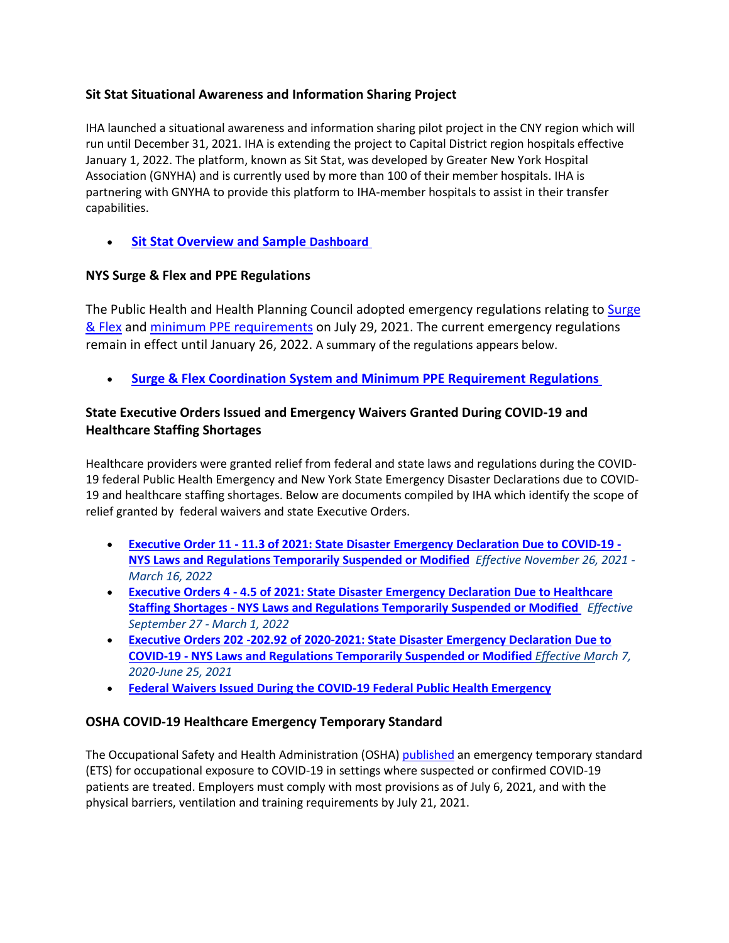# **Sit Stat Situational Awareness and Information Sharing Project**

IHA launched a situational awareness and information sharing pilot project in the CNY region which will run until December 31, 2021. IHA is extending the project to Capital District region hospitals effective January 1, 2022. The platform, known as Sit Stat, was developed by Greater New York Hospital Association (GNYHA) and is currently used by more than 100 of their member hospitals. IHA is partnering with GNYHA to provide this platform to IHA-member hospitals to assist in their transfer capabilities.

**[Sit Stat Overview and Sample Dashboard](https://www.iroquois.org/wp-content/uploads/2021/12/Sit-Stat-Summary-and-Dashboard.pdf)** 

### **NYS Surge & Flex and PPE Regulations**

The Public Health and Health Planning Council adopted emergency regulations relating to [Surge](https://regs.health.ny.gov/sites/default/files/pdf/emergency_regulations/Surge%20and%20Flex%20Health%20Coordination%20System_8.pdf)  [& Flex](https://regs.health.ny.gov/sites/default/files/pdf/emergency_regulations/Surge%20and%20Flex%20Health%20Coordination%20System_8.pdf) and [minimum PPE requirements](https://regs.health.ny.gov/sites/default/files/pdf/emergency_regulations/Hospital%20and%20Nursing%20Home%20Personal%20Protective%20Equipment%20%28PPE%29%20Requirements_1.pdf) on July 29, 2021. The current emergency regulations remain in effect until January 26, 2022. A summary of the regulations appears below.

• **[Surge & Flex Coordination System and Minimum PPE Requirement Regulations](https://www.iroquois.org/wp-content/uploads/2021/11/PPE-and-Surge-Flex-Regs-Oct-28-2021-Summary-1.pdf)**

# **State Executive Orders Issued and Emergency Waivers Granted During COVID-19 and Healthcare Staffing Shortages**

Healthcare providers were granted relief from federal and state laws and regulations during the COVID-19 federal Public Health Emergency and New York State Emergency Disaster Declarations due to COVID-19 and healthcare staffing shortages. Below are documents compiled by IHA which identify the scope of relief granted by federal waivers and state Executive Orders.

- **Executive Order 11 - [11.3 of 2021: State Disaster Emergency Declaration Due to COVID-19 -](https://www.iroquois.org/wp-content/uploads/2022/02/EO-11-11.3_-2021-22-Declaring-a-Disaster-Emergency-Due-to-COVID-19.pdf) [NYS Laws and Regulations Temporarily Suspended or Modified](https://www.iroquois.org/wp-content/uploads/2022/02/EO-11-11.3_-2021-22-Declaring-a-Disaster-Emergency-Due-to-COVID-19.pdf)** *Effective November 26, 2021 - March 16, 2022*
- **Executive Orders 4 - [4.5 of 2021: State Disaster Emergency Declaration Due to Healthcare](https://www.iroquois.org/wp-content/uploads/2022/01/EO4-4.5-Healthcare-Staffing-Shortage-Crosswalk.pdf)  Staffing Shortages - [NYS Laws and Regulations Temporarily Suspended or Modified](https://www.iroquois.org/wp-content/uploads/2022/01/EO4-4.5-Healthcare-Staffing-Shortage-Crosswalk.pdf)** *Effective September 27 - March 1, 2022*
- **[Executive Orders 202 -202.92 of 2020-2021: State Disaster Emergency Declaration Due to](https://www.iroquois.org/wp-content/uploads/2021/10/NYS-COVID-19-Temporary-Suspension-and-Modification-of-Law-and-Regulation.docx)  COVID-19 - NYS Laws and [Regulations Temporarily Suspended or Modified](https://www.iroquois.org/wp-content/uploads/2021/10/NYS-COVID-19-Temporary-Suspension-and-Modification-of-Law-and-Regulation.docx)** *[Effective Ma](https://www.iroquois.org/wp-content/uploads/2021/10/NYS-COVID-19-Temporary-Suspension-and-Modification-of-Law-and-Regulation.docx)rch 7, 2020-June 25, 2021*
- **[Federal Waivers Issued During the COVID-19 Federal Public Health Emergency](https://www.iroquois.org/wp-content/uploads/2021/07/Federal-COVID-19-Waivers.docx)**

### **OSHA COVID-19 Healthcare Emergency Temporary Standard**

The Occupational Safety and Health Administration (OSHA) [published](https://www.osha.gov/sites/default/files/covid-19-healthcare-ets-preamble.pdf) an emergency temporary standard (ETS) for occupational exposure to COVID-19 in settings where suspected or confirmed COVID-19 patients are treated. Employers must comply with most provisions as of July 6, 2021, and with the physical barriers, ventilation and training requirements by July 21, 2021.